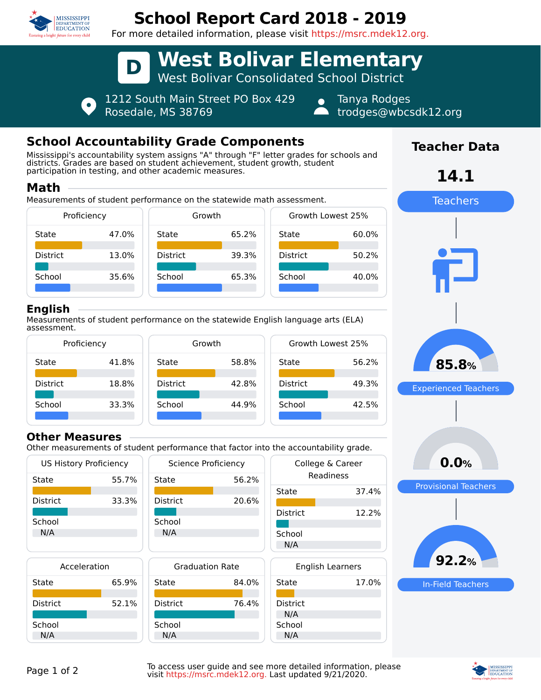

# **School Report Card 2018 - 2019**

For more detailed information, please visit https://msrc.mdek12.org.



1212 South Main Street PO Box 429 Rosedale, MS 38769

Tanya Rodges trodges@wbcsdk12.org

# **School Accountability Grade Components**

Mississippi's accountability system assigns "A" through "F" letter grades for schools and districts. Grades are based on student achievement, student growth, student participation in testing, and other academic measures.

#### **Math**

Measurements of student performance on the statewide math assessment.



#### **English**

Measurements of student performance on the statewide English language arts (ELA) assessment.



#### **Other Measures**

Other measurements of student performance that factor into the accountability grade.

| <b>US History Proficiency</b> |       | Science Proficiency    |       | College & Career        |       |
|-------------------------------|-------|------------------------|-------|-------------------------|-------|
| State                         | 55.7% | State                  | 56.2% | Readiness               |       |
|                               |       |                        |       | State                   | 37.4% |
| <b>District</b>               | 33.3% | <b>District</b>        | 20.6% |                         |       |
| School                        |       | School                 |       | <b>District</b>         | 12.2% |
| N/A                           |       | N/A                    |       | School                  |       |
|                               |       |                        |       | N/A                     |       |
| Acceleration                  |       | <b>Graduation Rate</b> |       | <b>English Learners</b> |       |
| State                         | 65.9% | State                  | 84.0% | State                   | 17.0% |
|                               |       |                        |       |                         |       |
| <b>District</b>               | 52.1% | <b>District</b>        | 76.4% | <b>District</b>         |       |
| School                        |       | School                 |       | N/A<br>School           |       |
| N/A                           |       | N/A                    |       | N/A                     |       |

# **Teacher Data**

**14.1**



Page 1 of 2 To access user guide and see more detailed information, please<br>visit https://msrc.mdek12.org. Last undated 9/21/2020 visit https://msrc.mdek12.org. Last updated 9/21/2020.



In-Field Teachers

**92.2%**